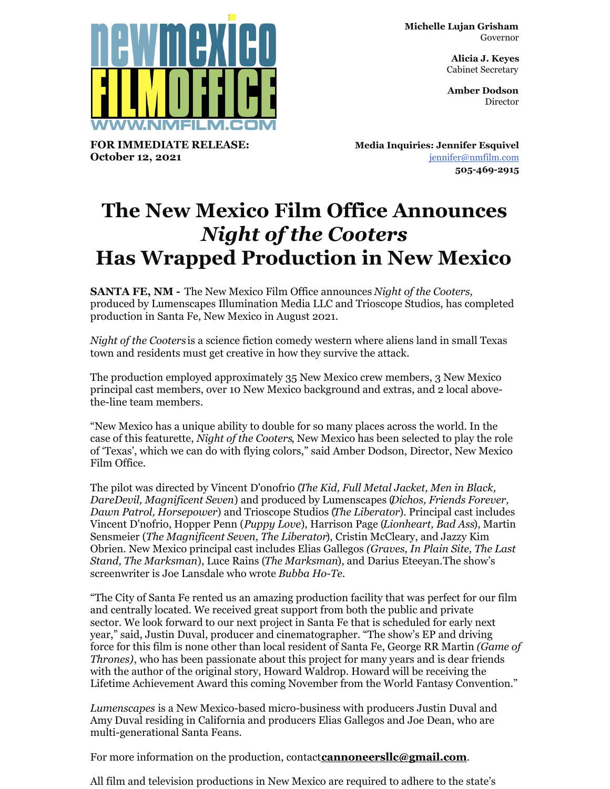**Michelle Lujan Grisham** Governor

> **Alicia J. Keyes** Cabinet Secretary

> **Amber Dodson Director**



**FOR IMMEDIATE RELEASE: October 12, 2021**

**Media Inquiries: Jennifer Esquivel** [jennifer@nmfilm.com](mailto:jennifer@nmfilm.com) **505-469-2915**

## **The New Mexico Film Office Announces** *Night of the Cooters* **Has Wrapped Production in New Mexico**

**SANTA FE, NM -** The New Mexico Film Office announces *Night of the Cooters,* produced by Lumenscapes Illumination Media LLC and Trioscope Studios, has completed production in Santa Fe, New Mexico in August 2021.

*Night of the Cooters* is a science fiction comedy western where aliens land in small Texas town and residents must get creative in how they survive the attack.

The production employed approximately 35 New Mexico crew members, 3 New Mexico principal cast members, over 10 New Mexico background and extras, and 2 local abovethe-line team members*.*

"New Mexico has a unique ability to double for so many places across the world. In the case of this featurette, *Night of the Cooters*, New Mexico has been selected to play the role of 'Texas', which we can do with flying colors," said Amber Dodson, Director, New Mexico Film Office.

The pilot was directed by Vincent D'onofrio (*The Kid, Full Metal Jacket, Men in Black, DareDevil, Magnificent Seven*) and produced by Lumenscapes (*Dichos, Friends Forever, Dawn Patrol, Horsepower*) and Trioscope Studios (*The Liberator*). Principal cast includes Vincent D'nofrio, Hopper Penn (*Puppy Love*), Harrison Page (*Lionheart, Bad Ass*), Martin Sensmeier (*The Magnificent Seven, The Liberator*), Cristin McCleary, and Jazzy Kim Obrien. New Mexico principal cast includes Elias Gallegos *(Graves, In Plain Site, The Last Stand, The Marksman*), Luce Rains (*The Marksman*), and Darius Eteeyan.The show's screenwriter is Joe Lansdale who wrote *Bubba Ho-Te.*

"The City of Santa Fe rented us an amazing production facility that was perfect for our film and centrally located. We received great support from both the public and private sector. We look forward to our next project in Santa Fe that is scheduled for early next year," said, Justin Duval, producer and cinematographer. "The show's EP and driving force for this film is none other than local resident of Santa Fe, George RR Martin *(Game of Thrones)*, who has been passionate about this project for many years and is dear friends with the author of the original story, Howard Waldrop. Howard will be receiving the Lifetime Achievement Award this coming November from the World Fantasy Convention."

*Lumenscapes* is a New Mexico-based micro-business with producers Justin Duval and Amy Duval residing in California and producers Elias Gallegos and Joe Dean, who are multi-generational Santa Feans.

For more information on the production, contact**[cannoneersllc@gmail.com](mailto:cannoneersllc@gmail.com)**.

All film and television productions in New Mexico are required to adhere to the state's